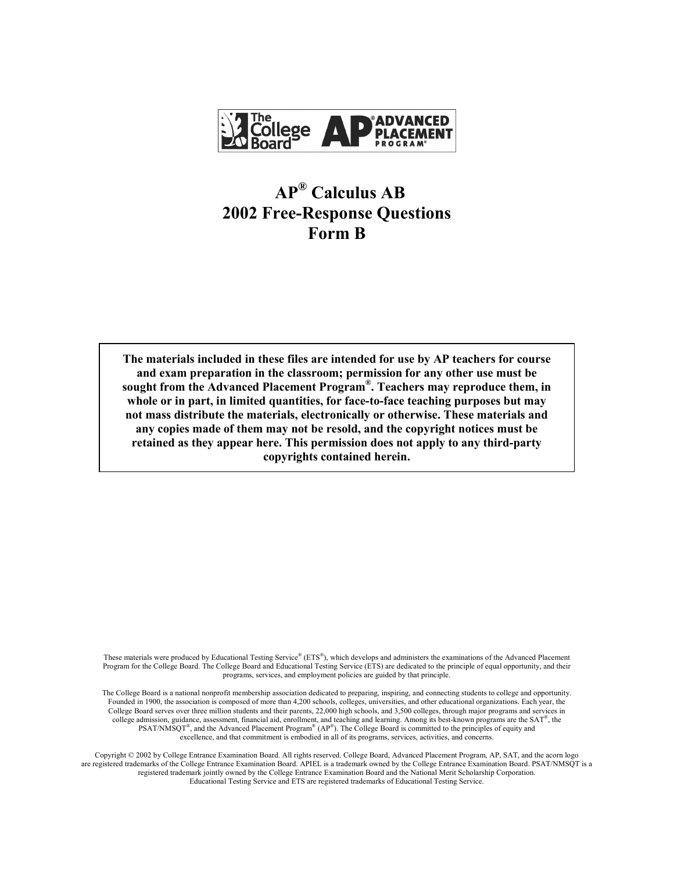

# **APÆ Calculus AB 2002 Free-Response Questions Form B**

**The materials included in these files are intended for use by AP teachers for course and exam preparation in the classroom; permission for any other use must be**  sought from the Advanced Placement Program<sup>®</sup>. Teachers may reproduce them, in **whole or in part, in limited quantities, for face-to-face teaching purposes but may not mass distribute the materials, electronically or otherwise. These materials and any copies made of them may not be resold, and the copyright notices must be retained as they appear here. This permission does not apply to any third-party copyrights contained herein.** 

These materials were produced by Educational Testing Service® ( $ETS^{\mathbb{P}}$ ), which develops and administers the examinations of the Advanced Placement Program for the College Board. The College Board and Educational Testing Service (ETS) are dedicated to the principle of equal opportunity, and their programs, services, and employment policies are guided by that principle.

The College Board is a national nonprofit membership association dedicated to preparing, inspiring, and connecting students to college and opportunity. Founded in 1900, the association is composed of more than 4,200 schools, colleges, universities, and other educational organizations. Each year, the College Board serves over three million students and their parents, 22,000 high schools, and 3,500 colleges, through major programs and services in college admission, guidance, assessment, financial aid, enrollment, and teaching and learning. Among its best-known programs are the  $SAT^{\circ}$ , the PSAT/NMSQT<sup>®</sup>, and the Advanced Placement Program<sup>®</sup> (AP<sup>®</sup>). The College Board is committed to the principles of equity and excellence, and that commitment is embodied in all of its programs, services, activities, and concerns.

Copyright © 2002 by College Entrance Examination Board. All rights reserved. College Board, Advanced Placement Program, AP, SAT, and the acorn logo are registered trademarks of the College Entrance Examination Board. APIEL is a trademark owned by the College Entrance Examination Board. PSAT/NMSQT is a registered trademark jointly owned by the College Entrance Examination Board and the National Merit Scholarship Corporation. Educational Testing Service and ETS are registered trademarks of Educational Testing Service.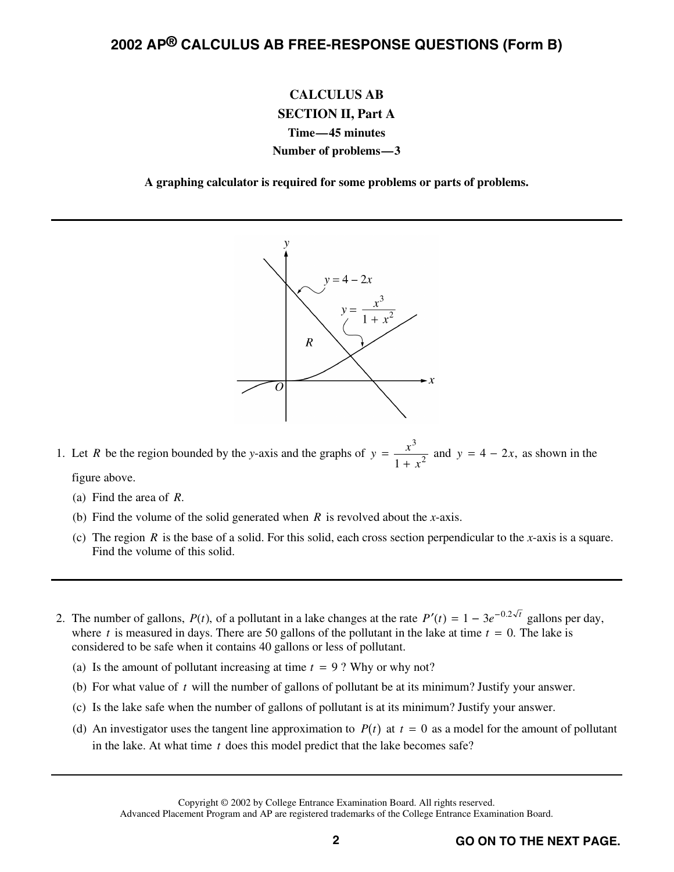### **2002 AP® CALCULUS AB FREE-RESPONSE QUESTIONS (Form B)**

#### **CALCULUS AB SECTION II, Part A Time—45 minutes Number of problems—3**

**A graphing calculator is required for some problems or parts of problems.** 



1. Let *R* be the region bounded by the *y*-axis and the graphs of  $y = \frac{x^3}{1 + x^3}$ 3  $\frac{x}{1+x^2}$  and  $y = 4 - 2x$ , as shown in the figure above.

(a) Find the area of *R*.

- (b) Find the volume of the solid generated when *R* is revolved about the *x*-axis.
- (c) The region *R* is the base of a solid. For this solid, each cross section perpendicular to the *x*-axis is a square. Find the volume of this solid.
- 2. The number of gallons,  $P(t)$ , of a pollutant in a lake changes at the rate  $P'(t) = 1 3e^{-0.2\sqrt{t}}$  gallons per day, where *t* is measured in days. There are 50 gallons of the pollutant in the lake at time  $t = 0$ . The lake is considered to be safe when it contains 40 gallons or less of pollutant.
	- (a) Is the amount of pollutant increasing at time  $t = 9$ ? Why or why not?
	- (b) For what value of *t* will the number of gallons of pollutant be at its minimum? Justify your answer.
	- (c) Is the lake safe when the number of gallons of pollutant is at its minimum? Justify your answer.
	- (d) An investigator uses the tangent line approximation to  $P(t)$  at  $t = 0$  as a model for the amount of pollutant in the lake. At what time *t* does this model predict that the lake becomes safe?

Advanced Placement Program and AP are registered trademarks of the College Entrance Examination Board.

Copyright © 2002 by College Entrance Examination Board. All rights reserved.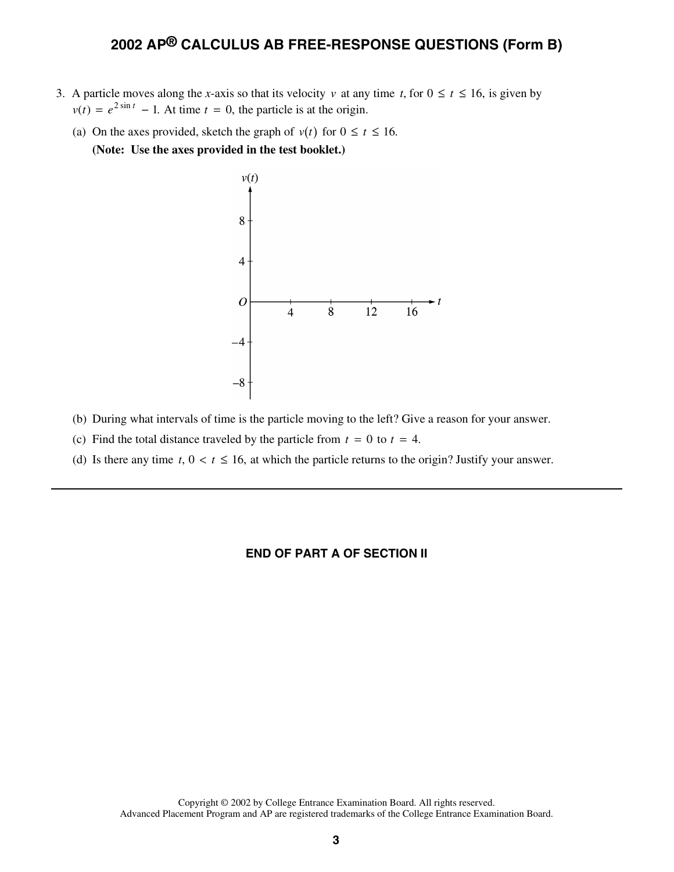#### **2002 AP® CALCULUS AB FREE-RESPONSE QUESTIONS (Form B)**

- 3. A particle moves along the *x*-axis so that its velocity *v* at any time *t*, for  $0 \le t \le 16$ , is given by  $v(t) = e^{2 \sin t} - 1$ . At time  $t = 0$ , the particle is at the origin.
	- (a) On the axes provided, sketch the graph of  $v(t)$  for  $0 \le t \le 16$ . **(Note: Use the axes provided in the test booklet.)**



- (b) During what intervals of time is the particle moving to the left? Give a reason for your answer.
- (c) Find the total distance traveled by the particle from  $t = 0$  to  $t = 4$ .
- (d) Is there any time  $t, 0 < t \le 16$ , at which the particle returns to the origin? Justify your answer.

#### **END OF PART A OF SECTION II**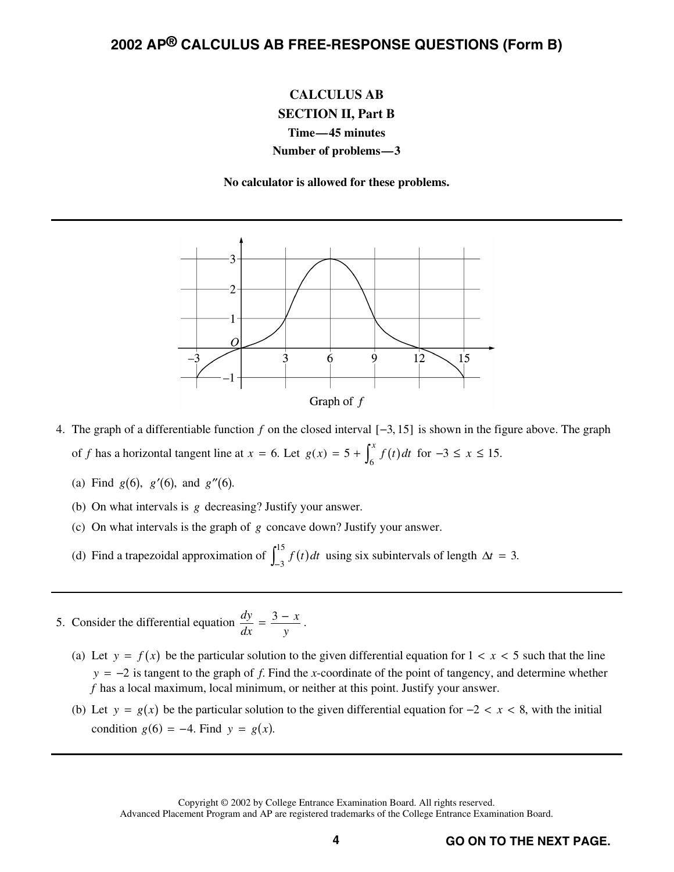## **2002 AP® CALCULUS AB FREE-RESPONSE QUESTIONS (Form B)**

### **CALCULUS AB SECTION II, Part B Time—45 minutes Number of problems—3**

**No calculator is allowed for these problems.** 



- 4. The graph of a differentiable function  $f$  on the closed interval  $[-3, 15]$  is shown in the figure above. The graph of *f* has a horizontal tangent line at  $x = 6$ . Let  $g(x) = 5 + \int_{x}^{x} f(t) dt$  $f(x) = 5 + \int_6^x f(t) dt$  for  $-3 \le x \le 15$ .
	- (a) Find *g*(6), *g'*(6), and *g''*(6).
	- (b) On what intervals is *g* decreasing? Justify your answer.
	- (c) On what intervals is the graph of *g* concave down? Justify your answer.
	- (c) On what intervals is the graph of g concave do<br>
	(d) Find a trapezoidal approximation of  $\int_{-3}^{15} f(t) dt$  $\int_{0}^{15} f(t) dt$  using six subintervals of length  $\Delta t = 3$ .
- 5. Consider the differential equation  $\frac{dy}{dx}$  $=\frac{3-x}{y}$ .
	- (a) Let  $y = f(x)$  be the particular solution to the given differential equation for  $1 < x < 5$  such that the line  $y = -2$  is tangent to the graph of *f*. Find the *x*-coordinate of the point of tangency, and determine whether *f* has a local maximum, local minimum, or neither at this point. Justify your answer.
	- (b) Let  $y = g(x)$  be the particular solution to the given differential equation for  $-2 < x < 8$ , with the initial condition  $g(6) = -4$ . Find  $y = g(x)$ .